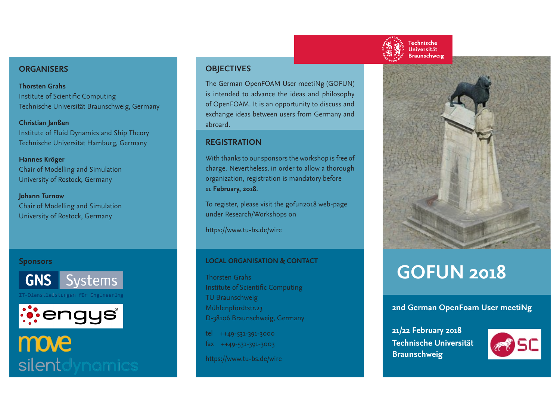#### **ORGANISERS**

**Thorsten Grahs** Institute of Scientific Computing Technische Universität Braunschweig, Germany

**Christian Janßen** Institute of Fluid Dynamics and Ship Theory Technische Universität Hamburg, Germany

#### **Hannes Kröger**

Chair of Modelling and Simulation University of Rostock, Germany

**Johann Turnow**

Chair of Modelling and Simulation University of Rostock, Germany

#### **Sponsors**



IT-Dienstleistungen für Engineering



## move silent

#### **OBJECTIVES**

The German OpenFOAM User meetiNg (GOFUN) is intended to advance the ideas and philosophy of OpenFOAM. It is an opportunity to discuss and exchange ideas between users from Germany and abroard.

#### **REGISTRATION**

With thanks to our sponsors the workshop is free of charge. Nevertheless, in order to allow a thorough organization, registration is mandatory before **11 February, 2018**.

To register, please visit the gofun2018 web-page under Research/Workshops on

https://www.tu-bs.de/wire

#### **LOCAL ORGANISATION & CONTACT**

Thorsten Grahs Institute of Scientific Computing TU Braunschweig Mühlenpfordtstr.23 D-38106 Braunschweig, Germany

tel ++49-531-391-3000 fax ++49-531-391-3003

https://www.tu-bs.de/wire







# **GOFUN 2018**

#### **2nd German OpenFoam User meetiNg**

**21/22 February 2018 Technische Universität Braunschweig**